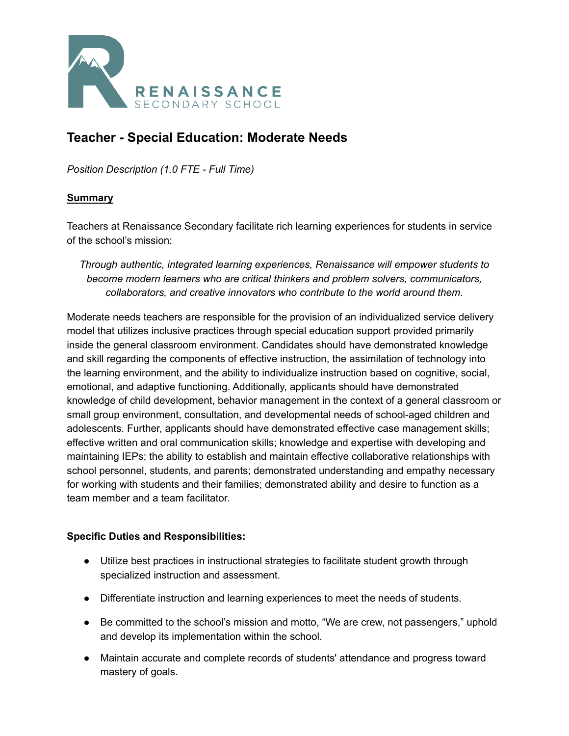

# **Teacher - Special Education: Moderate Needs**

*Position Description (1.0 FTE - Full Time)*

#### **Summary**

Teachers at Renaissance Secondary facilitate rich learning experiences for students in service of the school's mission:

*Through authentic, integrated learning experiences, Renaissance will empower students to become modern learners who are critical thinkers and problem solvers, communicators, collaborators, and creative innovators who contribute to the world around them.*

Moderate needs teachers are responsible for the provision of an individualized service delivery model that utilizes inclusive practices through special education support provided primarily inside the general classroom environment. Candidates should have demonstrated knowledge and skill regarding the components of effective instruction, the assimilation of technology into the learning environment, and the ability to individualize instruction based on cognitive, social, emotional, and adaptive functioning. Additionally, applicants should have demonstrated knowledge of child development, behavior management in the context of a general classroom or small group environment, consultation, and developmental needs of school-aged children and adolescents. Further, applicants should have demonstrated effective case management skills; effective written and oral communication skills; knowledge and expertise with developing and maintaining IEPs; the ability to establish and maintain effective collaborative relationships with school personnel, students, and parents; demonstrated understanding and empathy necessary for working with students and their families; demonstrated ability and desire to function as a team member and a team facilitator.

#### **Specific Duties and Responsibilities:**

- Utilize best practices in instructional strategies to facilitate student growth through specialized instruction and assessment.
- Differentiate instruction and learning experiences to meet the needs of students.
- Be committed to the school's mission and motto, "We are crew, not passengers," uphold and develop its implementation within the school.
- Maintain accurate and complete records of students' attendance and progress toward mastery of goals.